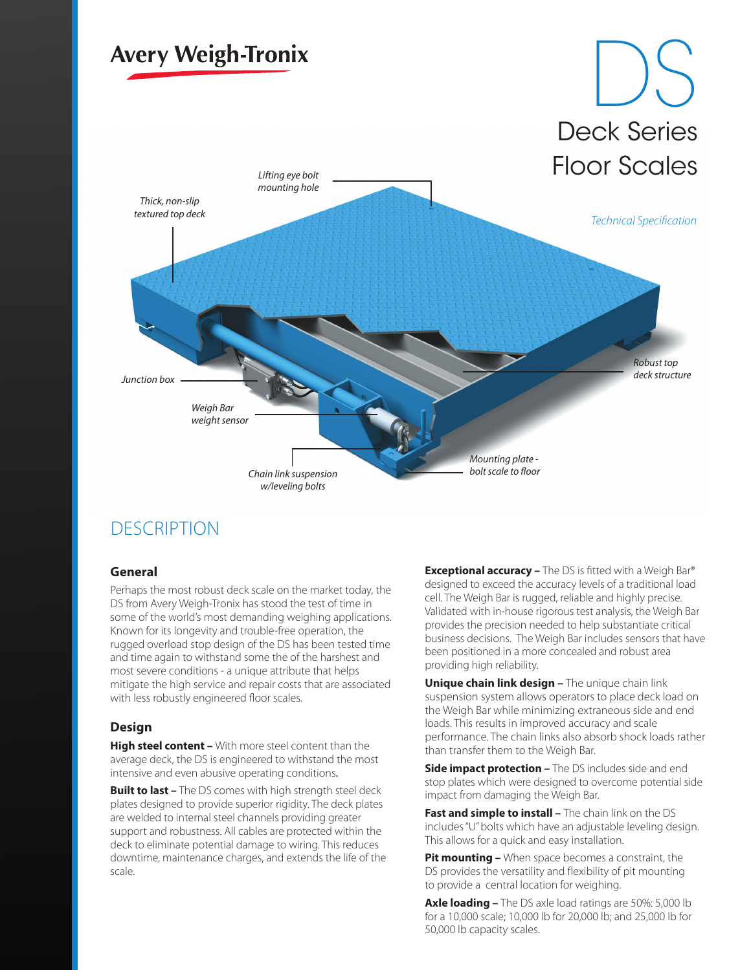

### **DESCRIPTION**

#### **General**

Perhaps the most robust deck scale on the market today, the DS from Avery Weigh-Tronix has stood the test of time in some of the world's most demanding weighing applications. Known for its longevity and trouble-free operation, the rugged overload stop design of the DS has been tested time and time again to withstand some the of the harshest and most severe conditions - a unique attribute that helps mitigate the high service and repair costs that are associated with less robustly engineered floor scales.

### **Design**

**High steel content –** With more steel content than the average deck, the DS is engineered to withstand the most intensive and even abusive operating conditions.

**Built to last –** The DS comes with high strength steel deck plates designed to provide superior rigidity. The deck plates are welded to internal steel channels providing greater support and robustness. All cables are protected within the deck to eliminate potential damage to wiring. This reduces downtime, maintenance charges, and extends the life of the scale.

**Exceptional accuracy –** The DS is fitted with a Weigh Bar® designed to exceed the accuracy levels of a traditional load cell. The Weigh Bar is rugged, reliable and highly precise. Validated with in-house rigorous test analysis, the Weigh Bar provides the precision needed to help substantiate critical business decisions. The Weigh Bar includes sensors that have been positioned in a more concealed and robust area providing high reliability.

**Unique chain link design –** The unique chain link suspension system allows operators to place deck load on the Weigh Bar while minimizing extraneous side and end loads. This results in improved accuracy and scale performance. The chain links also absorb shock loads rather than transfer them to the Weigh Bar.

**Side impact protection –** The DS includes side and end stop plates which were designed to overcome potential side impact from damaging the Weigh Bar.

**Fast and simple to install –** The chain link on the DS includes "U" bolts which have an adjustable leveling design. This allows for a quick and easy installation.

**Pit mounting –** When space becomes a constraint, the DS provides the versatility and flexibility of pit mounting to provide a central location for weighing.

**Axle loading –** The DS axle load ratings are 50%: 5,000 lb for a 10,000 scale; 10,000 lb for 20,000 lb; and 25,000 lb for 50,000 lb capacity scales.